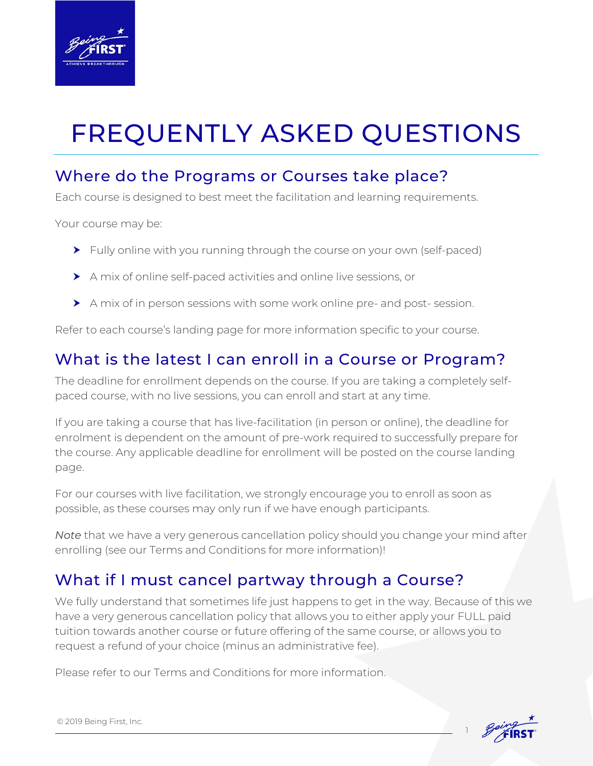

# FREQUENTLY ASKED QUESTIONS

## Where do the Programs or Courses take place?

Each course is designed to best meet the facilitation and learning requirements.

Your course may be:

- Fully online with you running through the course on your own (self-paced)
- A mix of online self-paced activities and online live sessions, or
- A mix of in person sessions with some work online pre- and post- session.

Refer to each course's landing page for more information specific to your course.

# What is the latest I can enroll in a Course or Program?

The deadline for enrollment depends on the course. If you are taking a completely selfpaced course, with no live sessions, you can enroll and start at any time.

If you are taking a course that has live-facilitation (in person or online), the deadline for enrolment is dependent on the amount of pre-work required to successfully prepare for the course. Any applicable deadline for enrollment will be posted on the course landing page.

For our courses with live facilitation, we strongly encourage you to enroll as soon as possible, as these courses may only run if we have enough participants.

*Note* that we have a very generous cancellation policy should you change your mind after enrolling (see our Terms and Conditions for more information)!

# What if I must cancel partway through a Course?

We fully understand that sometimes life just happens to get in the way. Because of this we have a very generous cancellation policy that allows you to either apply your FULL paid tuition towards another course or future offering of the same course, or allows you to request a refund of your choice (minus an administrative fee).

Please refer to our Terms and Conditions for more information.



1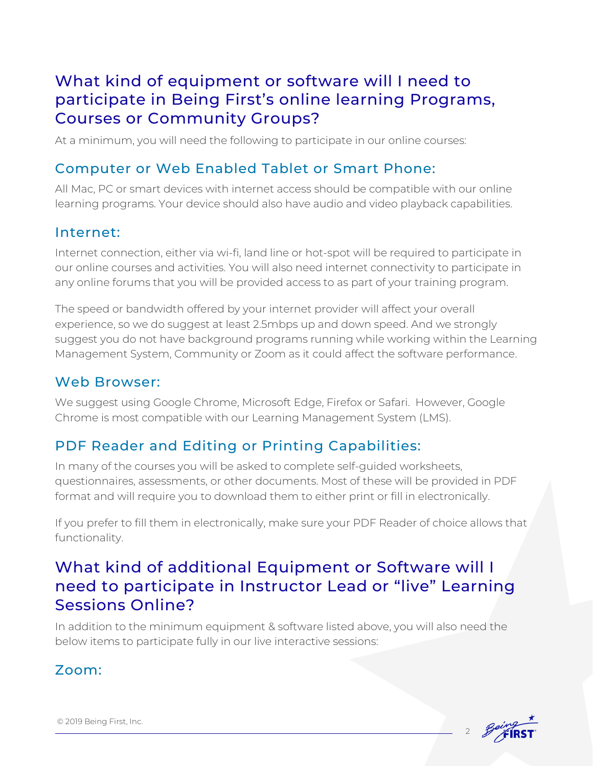## What kind of equipment or software will I need to participate in Being First's online learning Programs, Courses or Community Groups?

At a minimum, you will need the following to participate in our online courses:

## Computer or Web Enabled Tablet or Smart Phone:

All Mac, PC or smart devices with internet access should be compatible with our online learning programs. Your device should also have audio and video playback capabilities.

#### Internet:

Internet connection, either via wi-fi, land line or hot-spot will be required to participate in our online courses and activities. You will also need internet connectivity to participate in any online forums that you will be provided access to as part of your training program.

The speed or bandwidth offered by your internet provider will affect your overall experience, so we do suggest at least 2.5mbps up and down speed. And we strongly suggest you do not have background programs running while working within the Learning Management System, Community or Zoom as it could affect the software performance.

#### Web Browser:

We suggest using Google Chrome, Microsoft Edge, Firefox or Safari. However, Google Chrome is most compatible with our Learning Management System (LMS).

## PDF Reader and Editing or Printing Capabilities:

In many of the courses you will be asked to complete self-guided worksheets, questionnaires, assessments, or other documents. Most of these will be provided in PDF format and will require you to download them to either print or fill in electronically.

If you prefer to fill them in electronically, make sure your PDF Reader of choice allows that functionality.

## What kind of additional Equipment or Software will I need to participate in Instructor Lead or "live" Learning Sessions Online?

In addition to the minimum equipment & software listed above, you will also need the below items to participate fully in our live interactive sessions:

### Zoom: